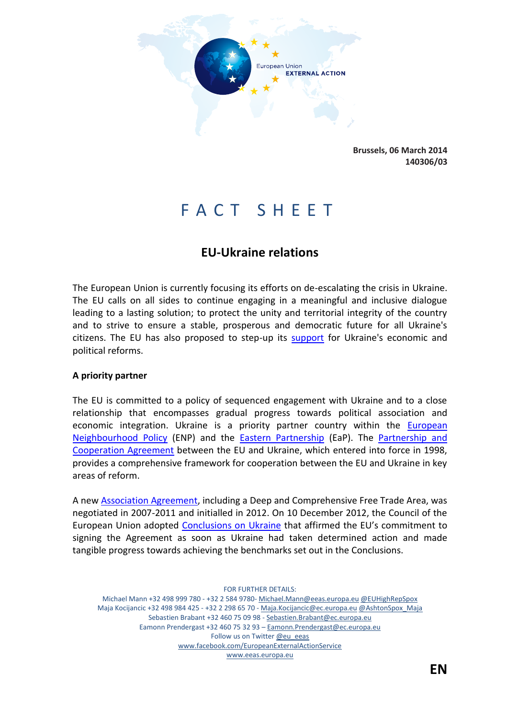

**Brussels, 06 March 2014 140306/03**

# F A C T S H E E T

# **EU-Ukraine relations**

The European Union is currently focusing its efforts on de-escalating the crisis in Ukraine. The EU calls on all sides to continue engaging in a meaningful and inclusive dialogue leading to a lasting solution; to protect the unity and territorial integrity of the country and to strive to ensure a stable, prosperous and democratic future for all Ukraine's citizens. The EU has also proposed to step-up its [support](http://europa.eu/rapid/press-release_MEMO-14-159_en.htm) for Ukraine's economic and political reforms.

#### **A priority partner**

The EU is committed to a policy of sequenced engagement with Ukraine and to a close relationship that encompasses gradual progress towards political association and economic integration. Ukraine is a priority partner country within the European [Neighbourhood Policy](http://www.eeas.europa.eu/enp/index_en.htm) (ENP) and the [Eastern Partnership](http://www.eeas.europa.eu/eastern/index_en.htm) (EaP). The [Partnership and](http://ec.europa.eu/world/agreements/downloadFile.do?fullText=yes&treatyTransId=659)  [Cooperation Agreement](http://ec.europa.eu/world/agreements/downloadFile.do?fullText=yes&treatyTransId=659) between the EU and Ukraine, which entered into force in 1998, provides a comprehensive framework for cooperation between the EU and Ukraine in key areas of reform.

A new [Association Agreement,](http://www.eeas.europa.eu/top_stories/2012/140912_ukraine_en.htm) including a Deep and Comprehensive Free Trade Area, was negotiated in 2007-2011 and initialled in 2012. On 10 December 2012, the Council of the European Union adopted [Conclusions on Ukraine](http://www.consilium.europa.eu/uedocs/cms_Data/docs/pressdata/EN/foraff/134136.pdf) that affirmed the EU's commitment to signing the Agreement as soon as Ukraine had taken determined action and made tangible progress towards achieving the benchmarks set out in the Conclusions.

FOR FURTHER DETAILS: Michael Mann +32 498 999 780 - +32 2 584 9780- Michael.Mann@eeas.europa.eu @EUHighRepSpox Maja Kocijancic +32 498 984 425 - +32 2 298 65 70 - Maja.Kocijancic@ec.europa.eu @AshtonSpox\_Maja Sebastien Brabant +32 460 75 09 98 - Sebastien.Brabant@ec.europa.eu Eamonn Prendergast +32 460 75 32 93 – Eamonn.Prendergast@ec.europa.eu Follow us on Twitter @eu\_eeas www.facebook.com/EuropeanExternalActionService www.eeas.europa.eu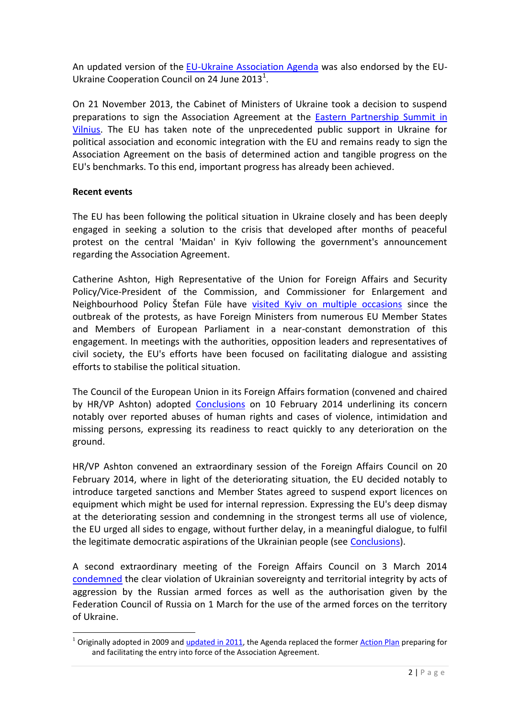An updated version of the [EU-Ukraine Association Agenda](http://www.eeas.europa.eu/ukraine/docs/eu_ukr_ass_agenda_24jun2013.pdf) was also endorsed by the EU-Ukraine Cooperation Council on 24 June 2013<sup>1</sup>.

On 21 November 2013, the Cabinet of Ministers of Ukraine took a decision to suspend preparations to sign the Association Agreement at the [Eastern Partnership Summit in](http://eeas.europa.eu/statements/docs/2013/131129_05_en.pdf)  [Vilnius.](http://eeas.europa.eu/statements/docs/2013/131129_05_en.pdf) The EU has taken note of the unprecedented public support in Ukraine for political association and economic integration with the EU and remains ready to sign the Association Agreement on the basis of determined action and tangible progress on the EU's benchmarks. To this end, important progress has already been achieved.

## **Recent events**

**.** 

The EU has been following the political situation in Ukraine closely and has been deeply engaged in seeking a solution to the crisis that developed after months of peaceful protest on the central 'Maidan' in Kyiv following the government's announcement regarding the Association Agreement.

Catherine Ashton, High Representative of the Union for Foreign Affairs and Security Policy/Vice-President of the Commission, and Commissioner for Enlargement and Neighbourhood Policy Štefan Füle have [visited Kyiv on multiple occasions](http://www.eeas.europa.eu/statements/docs/2014/140225_01_en.pdf) since the outbreak of the protests, as have Foreign Ministers from numerous EU Member States and Members of European Parliament in a near-constant demonstration of this engagement. In meetings with the authorities, opposition leaders and representatives of civil society, the EU's efforts have been focused on facilitating dialogue and assisting efforts to stabilise the political situation.

The Council of the European Union in its Foreign Affairs formation (convened and chaired by HR/VP Ashton) adopted [Conclusions](http://www.consilium.europa.eu/uedocs/cms_data/docs/pressdata/EN/foraff/140960.pdf) on 10 February 2014 underlining its concern notably over reported abuses of human rights and cases of violence, intimidation and missing persons, expressing its readiness to react quickly to any deterioration on the ground.

HR/VP Ashton convened an extraordinary session of the Foreign Affairs Council on 20 February 2014, where in light of the deteriorating situation, the EU decided notably to introduce targeted sanctions and Member States agreed to suspend export licences on equipment which might be used for internal repression. Expressing the EU's deep dismay at the deteriorating session and condemning in the strongest terms all use of violence, the EU urged all sides to engage, without further delay, in a meaningful dialogue, to fulfil the legitimate democratic aspirations of the Ukrainian people (see [Conclusions\)](http://www.consilium.europa.eu/uedocs/cms_data/docs/pressdata/EN/foraff/141110.pdf).

A second extraordinary meeting of the Foreign Affairs Council on 3 March 2014 [condemned](http://www.consilium.europa.eu/uedocs/cms_data/docs/pressdata/EN/foraff/141291.pdf) the clear violation of Ukrainian sovereignty and territorial integrity by acts of aggression by the Russian armed forces as well as the authorisation given by the Federation Council of Russia on 1 March for the use of the armed forces on the territory of Ukraine.

 $1$  Originally adopted in 2009 and [updated in 2011,](http://www.eeas.europa.eu/ukraine/docs/2010_eu_ukraine_association_agenda_en.pdf) the Agenda replaced the former [Action Plan](http://ec.europa.eu/world/enp/pdf/action_plans/ukraine_enp_ap_final_en.pdf) preparing for and facilitating the entry into force of the Association Agreement.